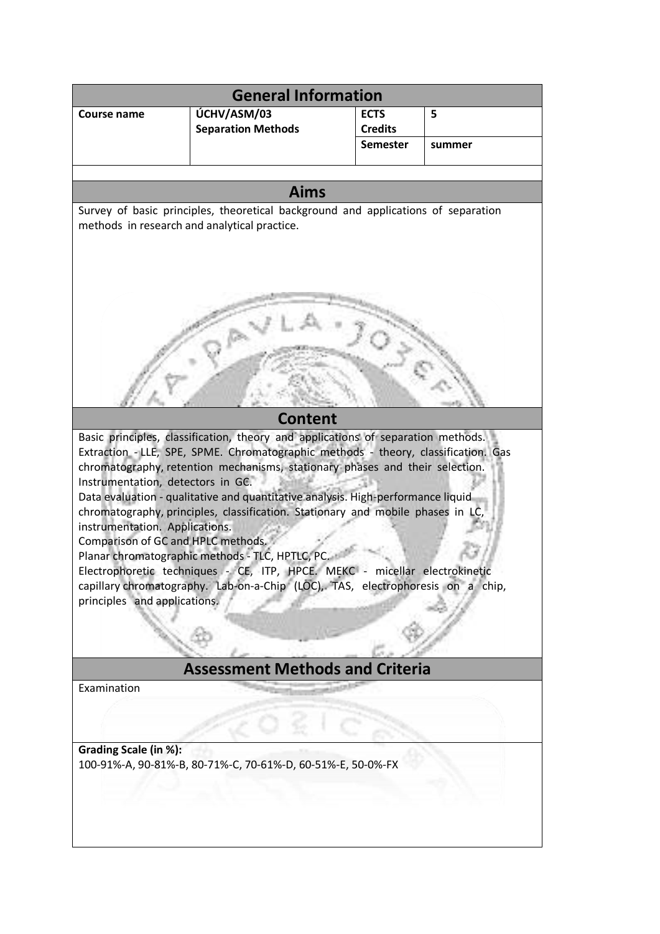